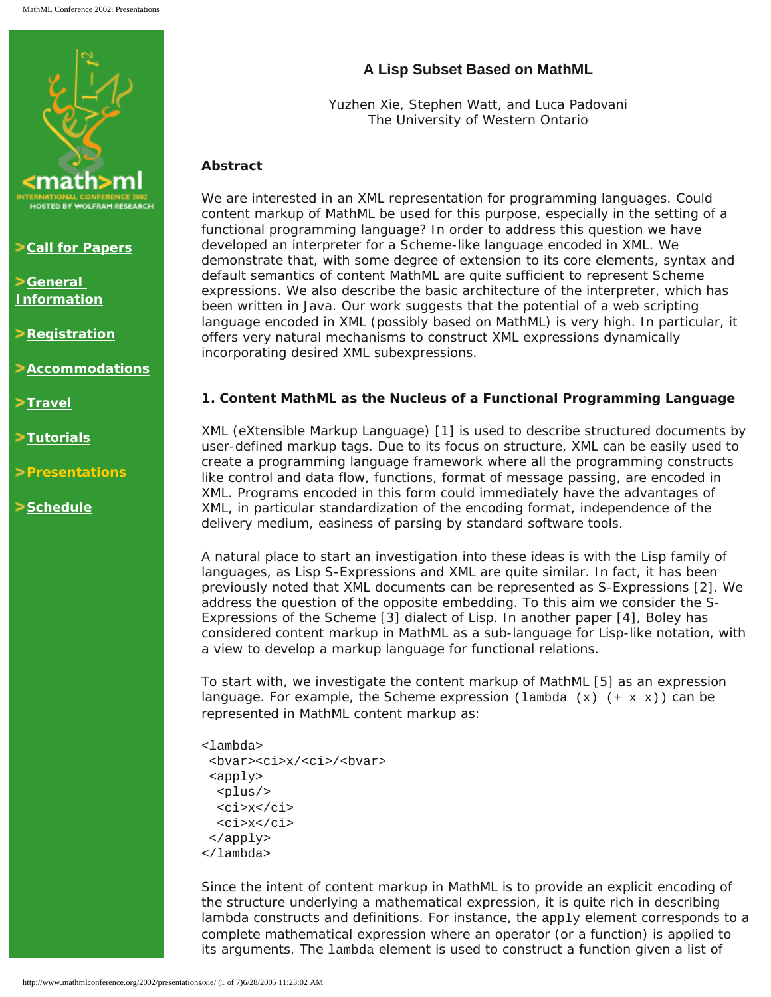

**Zall for Papers** 

**[General](http://www.mathmlconference.org/2002/info.html)  [Information](http://www.mathmlconference.org/2002/info.html)**

**Example 2 [Registration](http://www.wolfram.com/mathmlconference/register.cgi)** 

**[Accommodations](http://www.mathmlconference.org/2002/accommodations.html)**

>[Travel](http://www.mathmlconference.org/2002/travel.html)

**[Tutorials](http://www.mathmlconference.org/2002/tutorials.html)**

**[Presentations](http://www.mathmlconference.org/2002/presentations.html)**

**[Schedule](http://www.mathmlconference.org/2002/schedule.html)**

# **A Lisp Subset Based on MathML**

Yuzhen Xie, Stephen Watt, and Luca Padovani The University of Western Ontario

## **Abstract**

We are interested in an XML representation for programming languages. Could content markup of MathML be used for this purpose, especially in the setting of a functional programming language? In order to address this question we have developed an interpreter for a Scheme-like language encoded in XML. We demonstrate that, with some degree of extension to its core elements, syntax and default semantics of content MathML are quite sufficient to represent Scheme expressions. We also describe the basic architecture of the interpreter, which has been written in Java. Our work suggests that the potential of a web scripting language encoded in XML (possibly based on MathML) is very high. In particular, it offers very natural mechanisms to construct XML expressions dynamically incorporating desired XML subexpressions.

### **1. Content MathML as the Nucleus of a Functional Programming Language**

XML (eXtensible Markup Language) [1] is used to describe structured documents by user-defined markup tags. Due to its focus on structure, XML can be easily used to create a programming language framework where all the programming constructs like control and data flow, functions, format of message passing, are encoded in XML. Programs encoded in this form could immediately have the advantages of XML, in particular standardization of the encoding format, independence of the delivery medium, easiness of parsing by standard software tools.

A natural place to start an investigation into these ideas is with the Lisp family of languages, as Lisp S-Expressions and XML are quite similar. In fact, it has been previously noted that XML documents can be represented as S-Expressions [2]. We address the question of the opposite embedding. To this aim we consider the S-Expressions of the Scheme [3] dialect of Lisp. In another paper [4], Boley has considered content markup in MathML as a sub-language for Lisp-like notation, with a view to develop a markup language for functional relations.

To start with, we investigate the content markup of MathML [5] as an expression language. For example, the Scheme expression ( $lambda(x)$  (+ x x)) can be represented in MathML content markup as:

```
<lambda>
 <bvar><ci>x/<ci>/<bvar>
  <apply>
  <plus/>
   <ci>x</ci>
   <ci>x</ci>
  </apply>
</lambda>
```
Since the intent of content markup in MathML is to provide an explicit encoding of the structure underlying a mathematical expression, it is quite rich in describing lambda constructs and definitions. For instance, the  $\text{apply}$  element corresponds to a complete mathematical expression where an operator (or a function) is applied to its arguments. The lambda element is used to construct a function given a list of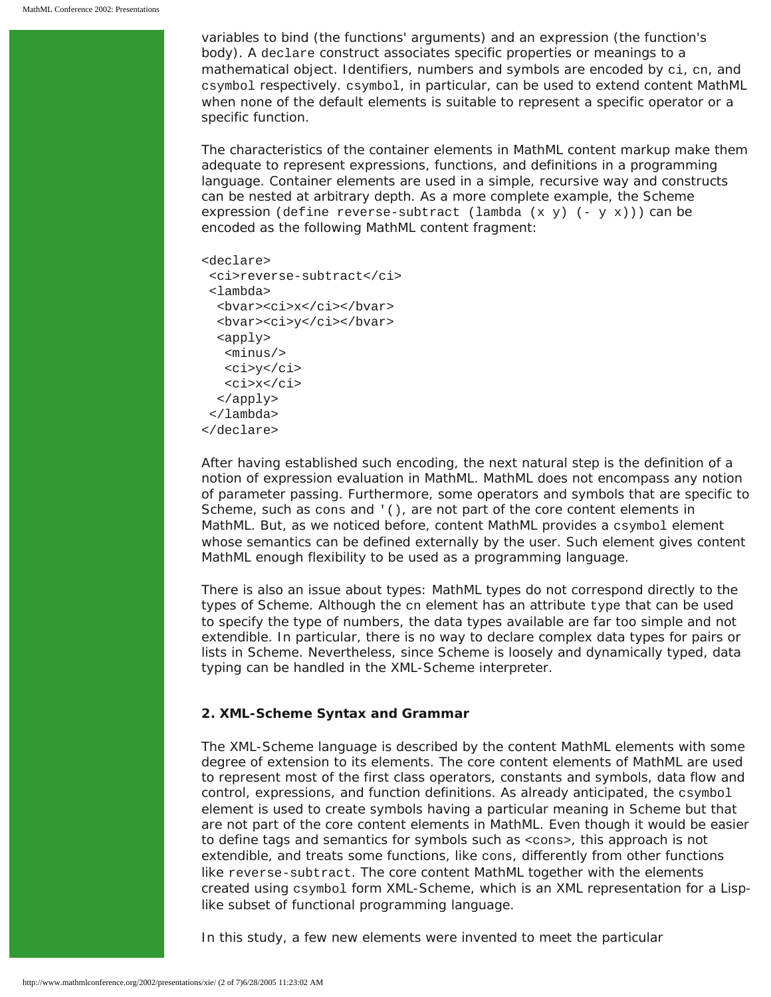variables to bind (the functions' arguments) and an expression (the function's body). A declare construct associates specific properties or meanings to a mathematical object. Identifiers, numbers and symbols are encoded by ci, cn, and csymbol respectively. csymbol, in particular, can be used to extend content MathML when none of the default elements is suitable to represent a specific operator or a specific function.

The characteristics of the container elements in MathML content markup make them adequate to represent expressions, functions, and definitions in a programming language. Container elements are used in a simple, recursive way and constructs can be nested at arbitrary depth. As a more complete example, the Scheme expression (define reverse-subtract (lambda  $(x y)$  (-  $y x$ ))) can be encoded as the following MathML content fragment:

```
<declare>
 <ci>reverse-subtract</ci>
  <lambda>
   <bvar><ci>x</ci></bvar>
   <bvar><ci>y</ci></bvar>
   <apply>
   <minus/>
   <ci>y</ci>
    <ci>x</ci>
   </apply>
  </lambda>
</declare>
```
After having established such encoding, the next natural step is the definition of a notion of expression evaluation in MathML. MathML does not encompass any notion of parameter passing. Furthermore, some operators and symbols that are specific to Scheme, such as cons and '(), are not part of the core content elements in MathML. But, as we noticed before, content MathML provides a csymbol element whose semantics can be defined externally by the user. Such element gives content MathML enough flexibility to be used as a programming language.

There is also an issue about types: MathML types do not correspond directly to the types of Scheme. Although the cn element has an attribute type that can be used to specify the type of numbers, the data types available are far too simple and not extendible. In particular, there is no way to declare complex data types for pairs or lists in Scheme. Nevertheless, since Scheme is loosely and dynamically typed, data typing can be handled in the XML-Scheme interpreter.

#### **2. XML-Scheme Syntax and Grammar**

The XML-Scheme language is described by the content MathML elements with some degree of extension to its elements. The core content elements of MathML are used to represent most of the first class operators, constants and symbols, data flow and control, expressions, and function definitions. As already anticipated, the csymbol element is used to create symbols having a particular meaning in Scheme but that are not part of the core content elements in MathML. Even though it would be easier to define tags and semantics for symbols such as <cons>, this approach is not extendible, and treats some functions, like cons, differently from other functions like reverse-subtract. The core content MathML together with the elements created using csymbol form XML-Scheme, which is an XML representation for a Lisplike subset of functional programming language.

In this study, a few new elements were invented to meet the particular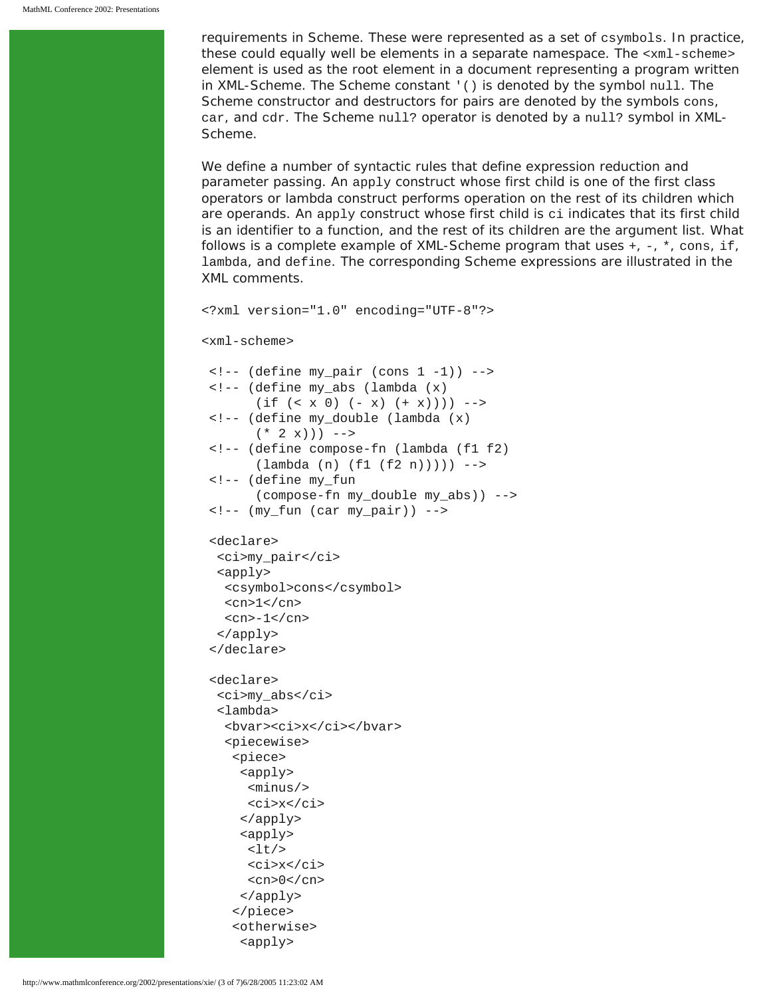requirements in Scheme. These were represented as a set of csymbols. In practice, these could equally well be elements in a separate namespace. The <xml-scheme> element is used as the root element in a document representing a program written in XML-Scheme. The Scheme constant '() is denoted by the symbol null. The Scheme constructor and destructors for pairs are denoted by the symbols cons, car, and cdr. The Scheme null? operator is denoted by a null? symbol in XML-Scheme.

We define a number of syntactic rules that define expression reduction and parameter passing. An apply construct whose first child is one of the first class operators or lambda construct performs operation on the rest of its children which are operands. An apply construct whose first child is ci indicates that its first child is an identifier to a function, and the rest of its children are the argument list. What follows is a complete example of XML-Scheme program that uses  $+$ ,  $-$ ,  $*$ , cons, if, lambda, and define. The corresponding Scheme expressions are illustrated in the XML comments.

```
<?xml version="1.0" encoding="UTF-8"?>
<xml-scheme>
\left\langle -\right\rangle (define my_pair (cons 1 -1)) -->
 <!-- (define my_abs (lambda (x) 
       (if (< x 0) (- x) (+ x))) -->
  <!-- (define my_double (lambda (x) 
       (* 2 x)) -->
  <!-- (define compose-fn (lambda (f1 f2) 
        (lambda (n) (f1 (f2 n))))) -->
  <!-- (define my_fun 
        (compose-fn my_double my_abs)) -->
  <!-- (my_fun (car my_pair)) -->
  <declare>
   <ci>my_pair</ci>
   <apply>
    <csymbol>cons</csymbol>
   <cn>1</cn>
   <cn>-1</cn>
   </apply>
  </declare>
  <declare>
   <ci>my_abs</ci>
   <lambda>
    <bvar><ci>x</ci></bvar>
    <piecewise>
     <piece>
      <apply>
       <minus/>
       <ci>x</ci>
      </apply>
      <apply>
      <lt/> <ci>x</ci>
      <cn>0</cn>
      </apply>
     </piece>
     <otherwise>
      <apply>
```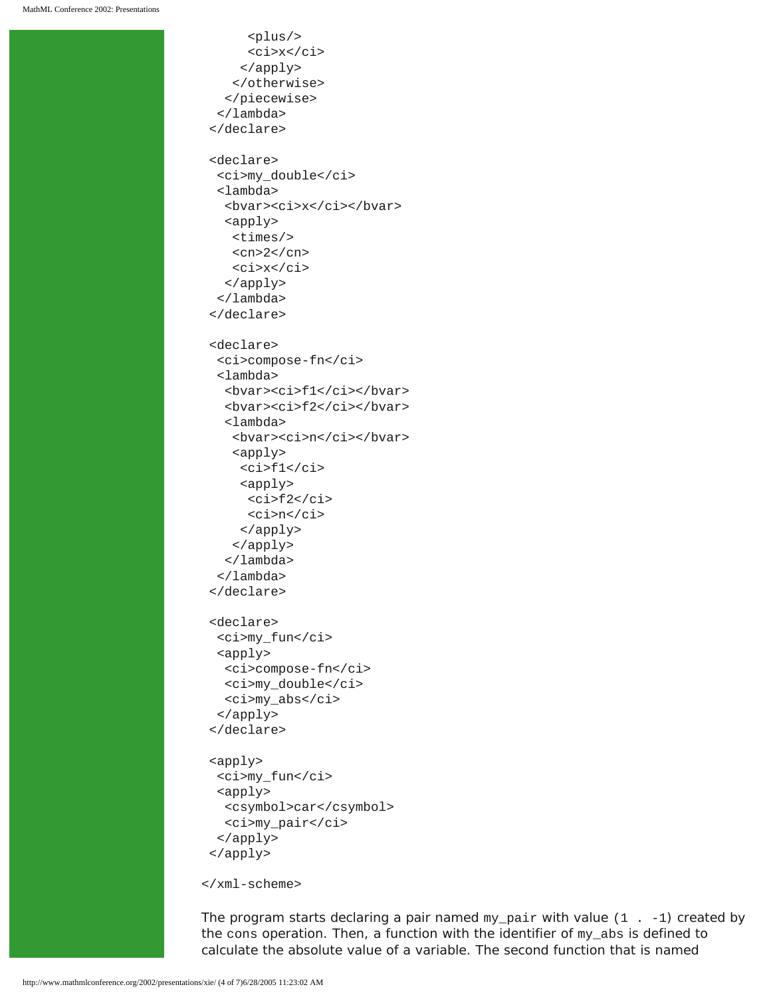```
 <plus/>
      <ci>x</ci>
     </apply> 
    </otherwise>
   </piecewise>
  </lambda>
 </declare>
 <declare>
  <ci>my_double</ci>
  <lambda>
   <bvar><ci>x</ci></bvar>
   <apply>
    <times/>
   <cn>2</cn>
    <ci>x</ci>
   </apply>
  </lambda>
 </declare>
 <declare>
  <ci>compose-fn</ci>
  <lambda>
   <bvar><ci>f1</ci></bvar>
   <bvar><ci>f2</ci></bvar>
   <lambda>
   <br />bvar><ci>n</ci></bvar>
    <apply>
     <ci>f1</ci>
     <apply>
     <ci>f2</ci>
      <ci>n</ci>
     </apply>
    </apply>
   </lambda>
  </lambda>
 </declare>
 <declare>
  <ci>my_fun</ci>
  <apply>
   <ci>compose-fn</ci>
   <ci>my_double</ci>
   <ci>my_abs</ci>
  </apply>
 </declare>
 <apply>
  <ci>my_fun</ci>
  <apply>
   <csymbol>car</csymbol>
   <ci>my_pair</ci>
  </apply>
 </apply>
```
</xml-scheme>

The program starts declaring a pair named  $my\_pair$  with value  $(1 - -1)$  created by the cons operation. Then, a function with the identifier of my\_abs is defined to calculate the absolute value of a variable. The second function that is named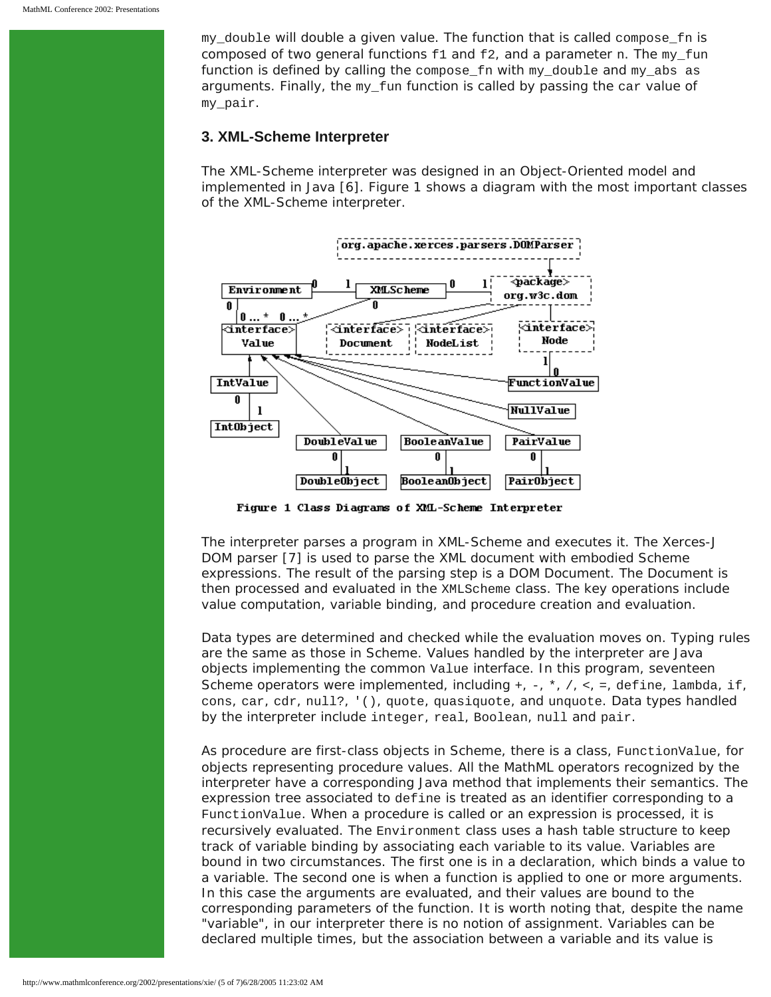my\_double will double a given value. The function that is called compose\_fn is composed of two general functions  $f1$  and  $f2$ , and a parameter n. The  $my\_fun$ function is defined by calling the compose  $\pm n$  with my double and my abs as arguments. Finally, the my\_fun function is called by passing the car value of my\_pair.

#### **3. XML-Scheme Interpreter**

The XML-Scheme interpreter was designed in an Object-Oriented model and implemented in Java [6]. Figure 1 shows a diagram with the most important classes of the XML-Scheme interpreter.



Figure 1 Class Diagrams of XML-Scheme Interpreter

The interpreter parses a program in XML-Scheme and executes it. The Xerces-J DOM parser [7] is used to parse the XML document with embodied Scheme expressions. The result of the parsing step is a DOM Document. The Document is then processed and evaluated in the XMLScheme class. The key operations include value computation, variable binding, and procedure creation and evaluation.

Data types are determined and checked while the evaluation moves on. Typing rules are the same as those in Scheme. Values handled by the interpreter are Java objects implementing the common Value interface. In this program, seventeen Scheme operators were implemented, including +, -, \*, /, <, =, define, lambda, if, cons, car, cdr, null?, '(), quote, quasiquote, and unquote. Data types handled by the interpreter include integer, real, Boolean, null and pair.

As procedure are first-class objects in Scheme, there is a class, FunctionValue, for objects representing procedure values. All the MathML operators recognized by the interpreter have a corresponding Java method that implements their semantics. The expression tree associated to define is treated as an identifier corresponding to a FunctionValue. When a procedure is called or an expression is processed, it is recursively evaluated. The Environment class uses a hash table structure to keep track of variable binding by associating each variable to its value. Variables are bound in two circumstances. The first one is in a declaration, which binds a value to a variable. The second one is when a function is applied to one or more arguments. In this case the arguments are evaluated, and their values are bound to the corresponding parameters of the function. It is worth noting that, despite the name "variable", in our interpreter there is no notion of assignment. Variables can be declared multiple times, but the association between a variable and its value is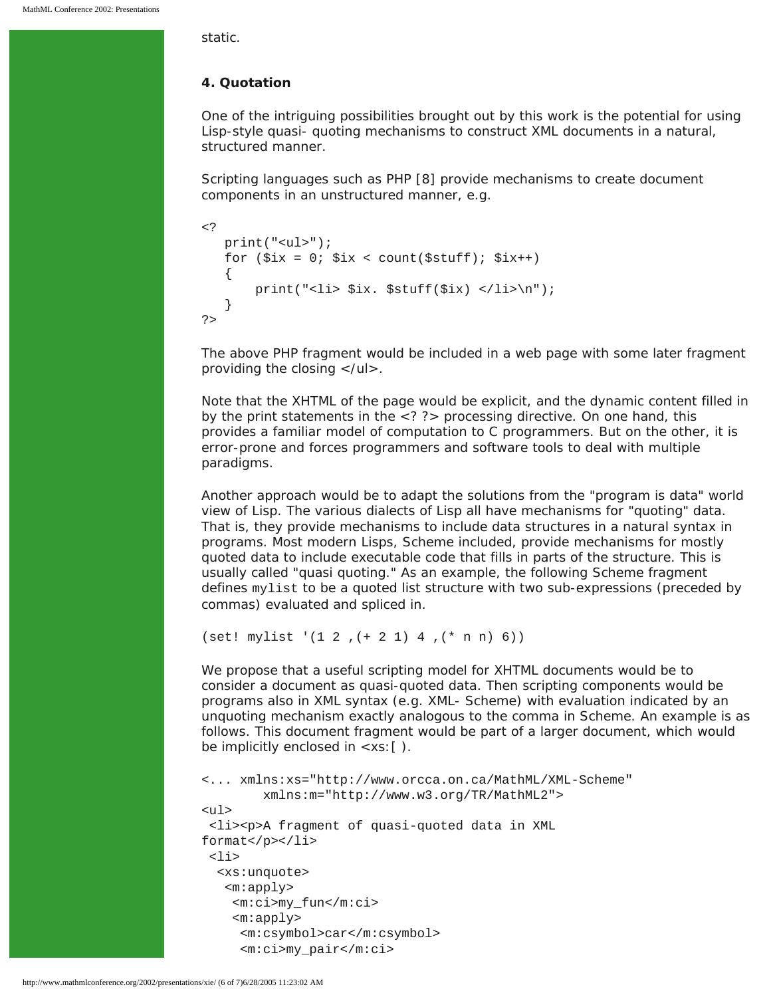static.

#### **4. Quotation**

One of the intriguing possibilities brought out by this work is the potential for using Lisp-style quasi- quoting mechanisms to construct XML documents in a natural, structured manner.

Scripting languages such as PHP [8] provide mechanisms to create document components in an unstructured manner, e.g.

```
\leq ?
     print("<ul>");
    for (\text{six} = 0; \text{six} < \text{count}(\text{Satuff}); \text{Six++}) {
           print("<li> $ix. $stuff($ix) </li>\n");
     }
?>
```
The above PHP fragment would be included in a web page with some later fragment providing the closing  $\langle \text{u} \rangle$ .

Note that the XHTML of the page would be explicit, and the dynamic content filled in by the print statements in the <? ?> processing directive. On one hand, this provides a familiar model of computation to C programmers. But on the other, it is error-prone and forces programmers and software tools to deal with multiple paradigms.

Another approach would be to adapt the solutions from the "program is data" world view of Lisp. The various dialects of Lisp all have mechanisms for "quoting" data. That is, they provide mechanisms to include data structures in a natural syntax in programs. Most modern Lisps, Scheme included, provide mechanisms for mostly quoted data to include executable code that fills in parts of the structure. This is usually called "quasi quoting." As an example, the following Scheme fragment defines mylist to be a quoted list structure with two sub-expressions (preceded by commas) evaluated and spliced in.

(set! mylist '(1 2 ,(+ 2 1) 4 ,(\* n n) 6))

We propose that a useful scripting model for XHTML documents would be to consider a document as quasi-quoted data. Then scripting components would be programs also in XML syntax (e.g. XML- Scheme) with evaluation indicated by an unquoting mechanism exactly analogous to the comma in Scheme. An example is as follows. This document fragment would be part of a larger document, which would be implicitly enclosed in <xs:[ ).

```
<... xmlns:xs="http://www.orcca.on.ca/MathML/XML-Scheme"
         xmlns:m="http://www.w3.org/TR/MathML2">
<ul>
  <li><p>A fragment of quasi-quoted data in XML 
format</p></li>
 <li>
   <xs:unquote>
    <m:apply>
     <m:ci>my_fun</m:ci>
     <m:apply>
      <m:csymbol>car</m:csymbol>
      <m:ci>my_pair</m:ci>
```